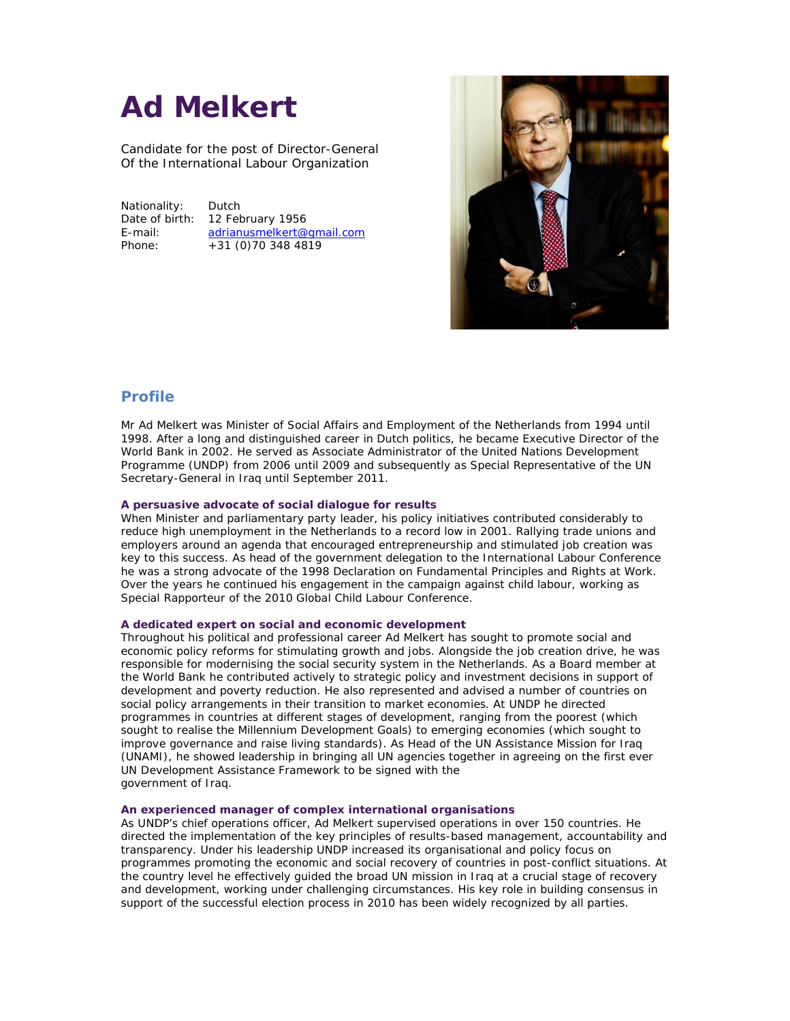# **Ad Melkert**

Candidate for the post of Director Director-General Of the International Labour Organization

Nationality: Dutch

Date of birth: 12 February 1956 E-mail: adrianusmelkert@gmail.com Phone: +31 (0)70 348 4819



# **Profile**

Mr Ad Melkert was Minister of Social Affairs and Employment of the Netherlands from 1994 until 1998. After a long and distinguished career in Dutch politics, he became Executive Director of the World Bank in 2002. He served as Associate Administrator of the United Nations Development Programme (UNDP) from 2006 until 2009 and subsequently as Special Representative of the UN<br>Secretary-General in Iraq until September 2011. Secretary-General in Iraq until September 2011.

# A persuasive advocate of social dialogue for results

When Minister and parliamentary party leader, his policy initiatives contributed considerably to reduce high unemployment in the Netherlands to a record low in 2001. Rallying trade unions and employers around an agenda that encouraged entrepreneurship and stimulated job creation was key to this success. As head of the government delegation to the International Labour Conference he was a strong advocate of the 1998 Declaration on Fundamental Principles and Rights at Work. Over the years he continued his engagement in the campaign against child labour, working as Special Rapporteur of the 2010 Global Child Labour Conference. Over the years he continued his engagement in the campaign against child labour, working as<br>Special Rapporteur of the 2010 Global Child Labour Conference.<br>A dedicated expert on social and economic development<br>Throughout hi unemployment in the Netherlands to a record low in 2001. Rallying trade unions and<br>round an agenda that encouraged entrepreneurship and stimulated job creation was<br>uccess. As head of the government delegation to the Intern 2009 and subsequently as Special Representative of the U<br>
ember 2011.<br>
Iialogue for results<br>
ty leader, his policy initiatives contributed considerably to<br>
therlands to a record low in 2001. Rallying trade unions a<br>
acoura

# **A dedicated expert on social and economic development**

Throughout his political and professional career Ad Melkert has sought to promote social and responsible for modernising the social security system in the Netherlands. As a Board member at the World Bank he contributed actively to strategic policy and investment decisions in support of development and poverty reduction. He also represented and advised a number of countries on social policy arrangements in their transition to market economies. At UNDP he directed the World Bank he contributed actively to strategic policy and investment decisions in support of development and poverty reduction. He also represented and advised a number of countries on social policy arrangements in th sought to realise the Millennium Development Goals) to emerging economies (which sought to improve governance and raise living standards). As Head of the UN Assistance Mission for Iraq sought to realise the Millennium Development Goals) to emerging economies (which sought to<br>improve governance and raise living standards). As Head of the UN Assistance Mission for Iraq<br>(UNAMI), he showed leadership in brin UN Development Assistance Framework to be signed with the government of Iraq. UN Development Assistance Framework to be signed with the<br>government of Iraq.<br>An experienced manager of complex international organisations<br>As UNDP's chief operations officer, Ad Melkert supervised operations in over 150 c 1998. After at long and distinguished crasses in Dutch politics, he became Executive Director of the DND on Morel Secretary-General PortuPy from 2006 unit 2009 subsequently as Special Representative of the UN<br>Programme (UN responsible for modernising the social security system in the Netherlands. As a Board member at<br>the World Bank he contributed actively to strategic policy and investment decisions in support of<br>development and poverty redu

# **An experienced manager of complex international organisations**

directed the implementation of the key principles of results-based management, accountabil transparency. Under his leadership UNDP increased its organisational and policy focus on transparency. Under his leadership UNDP increased its organisational and policy focus on<br>programmes promoting the economic and social recovery of countries in post-conflict situations. At the country level he effectively guided the broad UN mission in Iraq at a crucial stage of recovery and development, working under challenging circumstances. His key role in building consensus in support of the successful election process in 2010 has been widely recognized by all parties. oad UN mission in Iraq at a crucial stage of reco<br>| circumstances. His key role in building consens<br>2010 has been widely recognized by all parties.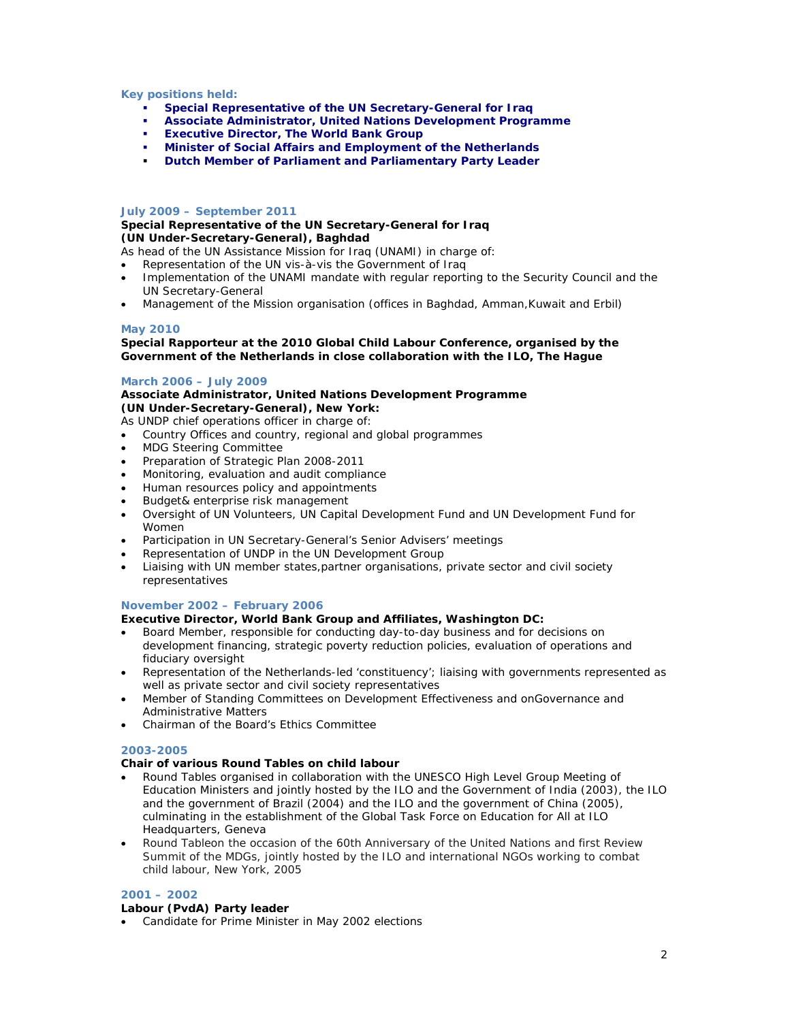# **Key positions held:**

- *Special Representative of the UN Secretary-General for Iraq*
- *Associate Administrator, United Nations Development Programme*
- *Executive Director, The World Bank Group*
- *Minister of Social Affairs and Employment of the Netherlands*
- *Dutch Member of Parliament and Parliamentary Party Leader*

# **July 2009 – September 2011**

*Special Representative of the UN Secretary-General for Iraq (UN Under-Secretary-General), Baghdad*

- As head of the UN Assistance Mission for Iraq (UNAMI) in charge of:
- Representation of the UN vis-à-vis the Government of Iraq
- Implementation of the UNAMI mandate with regular reporting to the Security Council and the UN Secretary-General
- Management of the Mission organisation (offices in Baghdad, Amman,Kuwait and Erbil)

# **May 2010**

*Special Rapporteur at the 2010 Global Child Labour Conference, organised by the Government of the Netherlands in close collaboration with the ILO, The Hague*

# **March 2006 – July 2009**

*Associate Administrator, United Nations Development Programme (UN Under-Secretary-General), New York:*

- As UNDP chief operations officer in charge of:
- Country Offices and country, regional and global programmes
- MDG Steering Committee
- Preparation of Strategic Plan 2008-2011
- Monitoring, evaluation and audit compliance
- Human resources policy and appointments
- Budget& enterprise risk management
- Oversight of UN Volunteers, UN Capital Development Fund and UN Development Fund for Women
- Participation in UN Secretary-General's Senior Advisers' meetings
- Representation of UNDP in the UN Development Group
- Liaising with UN member states,partner organisations, private sector and civil society representatives

#### **November 2002 – February 2006**

*Executive Director, World Bank Group and Affiliates, Washington DC:*

- Board Member, responsible for conducting day-to-day business and for decisions on development financing, strategic poverty reduction policies, evaluation of operations and fiduciary oversight
- Representation of the Netherlands-led 'constituency'; liaising with governments represented as well as private sector and civil society representatives
- Member of Standing Committees on Development Effectiveness and onGovernance and Administrative Matters
- Chairman of the Board's Ethics Committee

#### **2003-2005**

*Chair of various Round Tables on child labour*

- Round Tables organised in collaboration with the UNESCO High Level Group Meeting of Education Ministers and jointly hosted by the ILO and the Government of India (2003), the ILO and the government of Brazil (2004) and the ILO and the government of China (2005), culminating in the establishment of the Global Task Force on Education for All at ILO Headquarters, Geneva
- Round Tableon the occasion of the 60th Anniversary of the United Nations and first Review Summit of the MDGs, jointly hosted by the ILO and international NGOs working to combat child labour, New York, 2005

#### **2001 – 2002**

*Labour (PvdA) Party leader*

Candidate for Prime Minister in May 2002 elections